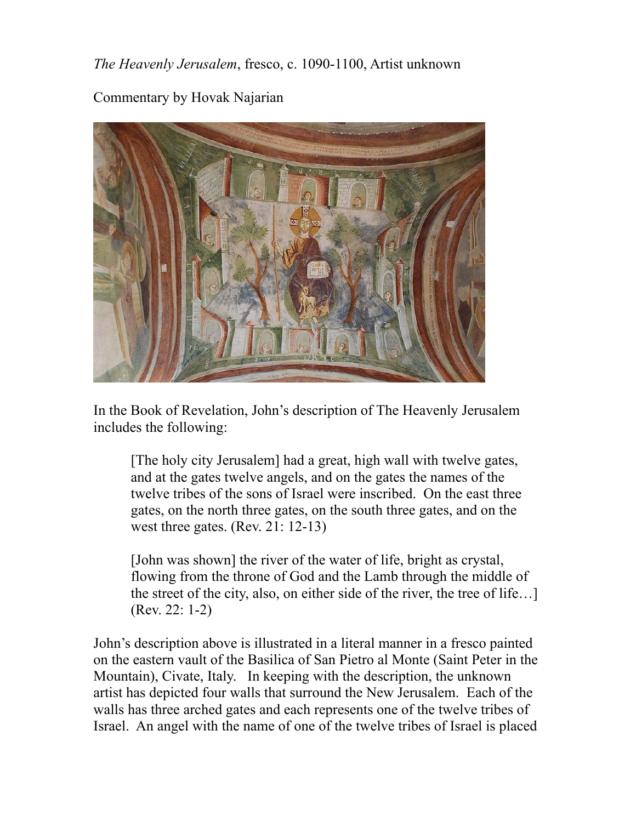*The Heavenly Jerusalem*, fresco, c. 1090-1100, Artist unknown

Commentary by Hovak Najarian



In the Book of Revelation, John's description of The Heavenly Jerusalem includes the following:

[The holy city Jerusalem] had a great, high wall with twelve gates, and at the gates twelve angels, and on the gates the names of the twelve tribes of the sons of Israel were inscribed. On the east three gates, on the north three gates, on the south three gates, and on the west three gates.  $(Rev. 21: 12-13)$ 

[John was shown] the river of the water of life, bright as crystal, flowing from the throne of God and the Lamb through the middle of the street of the city, also, on either side of the river, the tree of life…] (Rev. 22: 1-2)

John's description above is illustrated in a literal manner in a fresco painted on the eastern vault of the Basilica of San Pietro al Monte (Saint Peter in the Mountain), Civate, Italy. In keeping with the description, the unknown artist has depicted four walls that surround the New Jerusalem. Each of the walls has three arched gates and each represents one of the twelve tribes of Israel. An angel with the name of one of the twelve tribes of Israel is placed